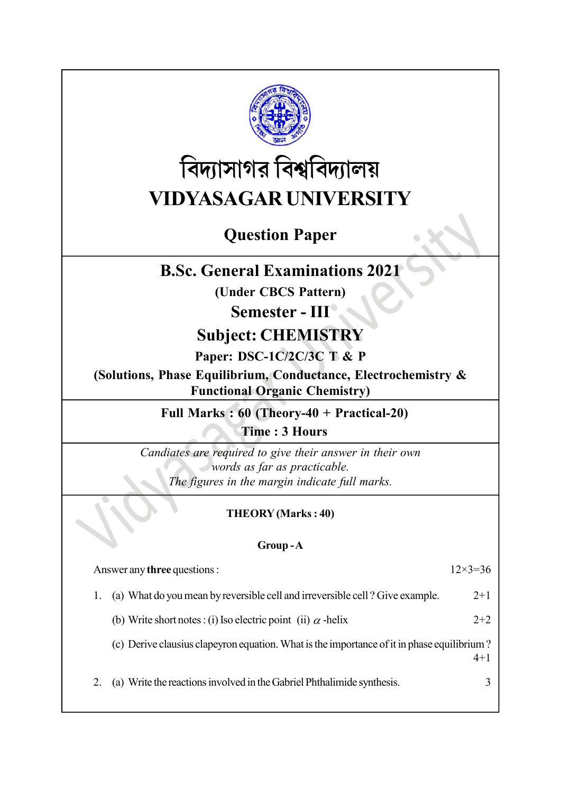

# বিদ্যাসাগর বিশ্ববিদ্যালয় VIDYASAGAR UNIVERSITY

# Question Paper

# B.Sc. General Examinations 2021

(Under CBCS Pattern)

## Semester - III<sup>®</sup>

### Subject: CHEMISTRY

Paper: DSC-1C/2C/3C T & P

(Solutions, Phase Equilibrium, Conductance, Electrochemistry & Functional Organic Chemistry)

Full Marks : 60 (Theory-40 + Practical-20)

Time : 3 Hours

Candiates are required to give their answer in their own words as far as practicable. The figures in the margin indicate full marks.

#### THEORY (Marks : 40)

#### Group - A

| Answer any <b>three</b> questions :                                                                   | $12\times3=36$ |
|-------------------------------------------------------------------------------------------------------|----------------|
| (a) What do you mean by reversible cell and irreversible cell? Give example.                          | $2+1$          |
| (b) Write short notes : (i) Iso electric point (ii) $\alpha$ -helix                                   | $2+2$          |
| (c) Derive clausius clapeyron equation. What is the importance of it in phase equilibrium?<br>$4 + 1$ |                |
| (a) Write the reactions involved in the Gabriel Phthalimide synthesis.                                |                |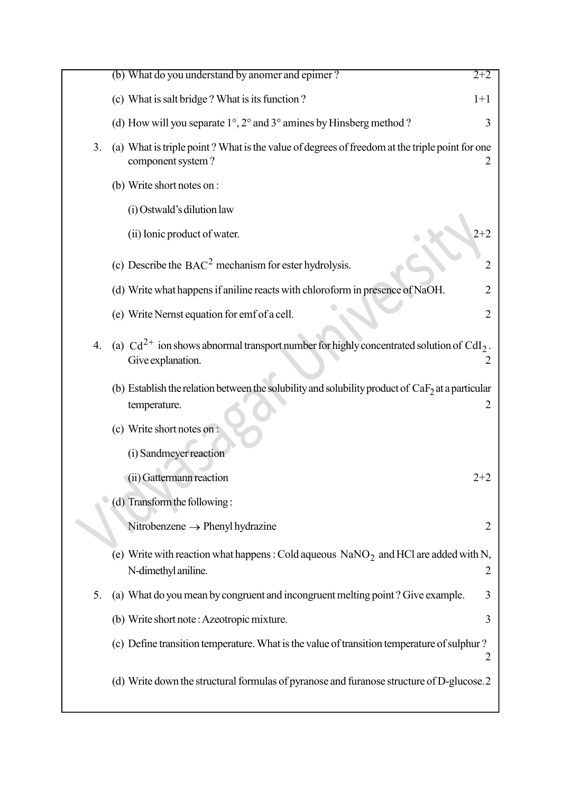|    | (b) What do you understand by anomer and epimer?                                                                              | $2+2$          |
|----|-------------------------------------------------------------------------------------------------------------------------------|----------------|
|    | (c) What is salt bridge? What is its function?                                                                                | $1+1$          |
|    | (d) How will you separate $1^{\circ}$ , $2^{\circ}$ and $3^{\circ}$ amines by Hinsberg method ?                               | 3              |
| 3. | (a) What is triple point? What is the value of degrees of freedom at the triple point for one<br>component system?            |                |
|    | (b) Write short notes on :                                                                                                    |                |
|    | (i) Ostwald's dilution law                                                                                                    |                |
|    | (ii) Ionic product of water.                                                                                                  | $2 + 2$        |
|    | (c) Describe the $BAC2$ mechanism for ester hydrolysis.                                                                       | $\overline{2}$ |
|    | (d) Write what happens if aniline reacts with chloroform in presence of NaOH.                                                 | 2              |
|    | (e) Write Nernst equation for emf of a cell.                                                                                  | $\overline{2}$ |
| 4. | (a) $Cd^{2+}$ ion shows abnormal transport number for highly concentrated solution of CdI <sub>2</sub> .<br>Give explanation. | 2              |
|    | (b) Establish the relation between the solubility and solubility product of $CaF2$ at a particular<br>temperature.            | 2              |
|    | (c) Write short notes on :                                                                                                    |                |
|    | (i) Sandmeyer reaction                                                                                                        |                |
|    | (ii) Gattermann reaction                                                                                                      | $2 + 2$        |
|    | (d) Transform the following:                                                                                                  |                |
|    | Nitrobenzene $\rightarrow$ Phenyl hydrazine                                                                                   | $\overline{2}$ |
|    | (e) Write with reaction what happens: Cold aqueous $\text{NaNO}_2$ and HCl are added with N,<br>N-dimethyl aniline.           | 2              |
| 5. | (a) What do you mean by congruent and incongruent melting point? Give example.                                                | 3              |
|    | (b) Write short note: Azeotropic mixture.                                                                                     | 3              |
|    | (c) Define transition temperature. What is the value of transition temperature of sulphur?                                    | 2              |
|    | (d) Write down the structural formulas of pyranose and furanose structure of D-glucose.2                                      |                |

C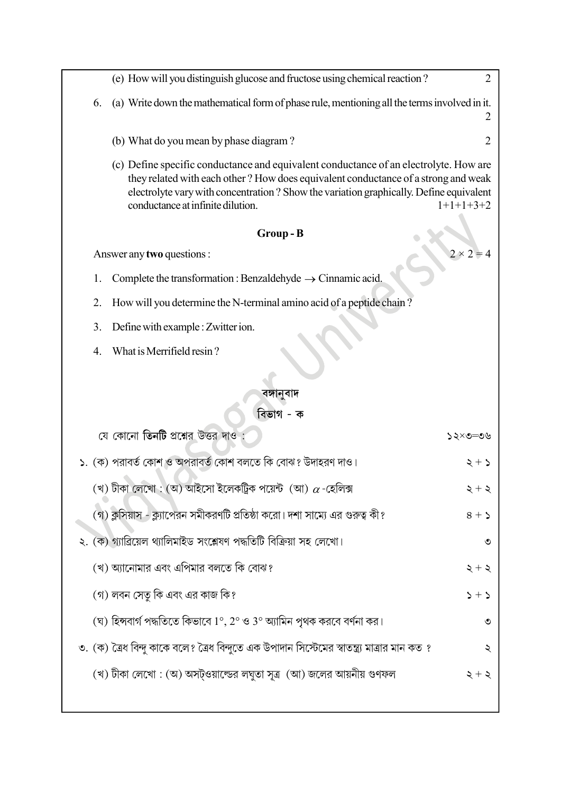|    | (e) How will you distinguish glucose and fructose using chemical reaction?                                                                                                                                                                                                                                  | $\overline{2}$   |  |  |  |
|----|-------------------------------------------------------------------------------------------------------------------------------------------------------------------------------------------------------------------------------------------------------------------------------------------------------------|------------------|--|--|--|
| 6. | (a) Write down the mathematical form of phase rule, mentioning all the terms involved in it.                                                                                                                                                                                                                |                  |  |  |  |
|    | (b) What do you mean by phase diagram?                                                                                                                                                                                                                                                                      | 2                |  |  |  |
|    | (c) Define specific conductance and equivalent conductance of an electrolyte. How are<br>they related with each other? How does equivalent conductance of a strong and weak<br>electrolyte vary with concentration ? Show the variation graphically. Define equivalent<br>conductance at infinite dilution. | $1+1+1+3+2$      |  |  |  |
|    | Group-B                                                                                                                                                                                                                                                                                                     |                  |  |  |  |
|    | Answer any two questions :                                                                                                                                                                                                                                                                                  | $2 \times 2 = 4$ |  |  |  |
| 1. | Complete the transformation : Benzaldehyde $\rightarrow$ Cinnamic acid.                                                                                                                                                                                                                                     |                  |  |  |  |
| 2. | How will you determine the N-terminal amino acid of a peptide chain?                                                                                                                                                                                                                                        |                  |  |  |  |
| 3. | Define with example : Zwitter ion.                                                                                                                                                                                                                                                                          |                  |  |  |  |
| 4. | What is Merrifield resin?                                                                                                                                                                                                                                                                                   |                  |  |  |  |
|    |                                                                                                                                                                                                                                                                                                             |                  |  |  |  |
|    | বঙ্গানুবাদ                                                                                                                                                                                                                                                                                                  |                  |  |  |  |
|    | বিভাগ - ক                                                                                                                                                                                                                                                                                                   |                  |  |  |  |
|    | যে কোনো <b>তিনটি</b> প্রশ্নের উত্তর দাও                                                                                                                                                                                                                                                                     | ১২×৩=৩৬          |  |  |  |
|    | ১. (ক) পরাবর্ত কোশ ও অপরাবর্ত কোশ বলতে কি বোঝ? উদাহরণ দাও।                                                                                                                                                                                                                                                  | $5 + 5$          |  |  |  |
|    | (খ) টীকা লেখো : (অ) আইসো ইলেকট্রিক পয়েন্ট (আ) $\alpha$ -হেলিক্স                                                                                                                                                                                                                                            | $\zeta + \zeta$  |  |  |  |
|    | (গ) ক্লসিয়াস - ক্ল্যাপেরন সমীকরণটি প্রতিষ্ঠা করো। দশা সাম্যে এর গুরুত্ব কী?                                                                                                                                                                                                                                | $8 + 5$          |  |  |  |
|    | ২. (ক) গ্যাব্রিয়েল থ্যালিমাইড সংশ্লেষণ পদ্ধতিটি বিক্রিয়া সহ লেখো।                                                                                                                                                                                                                                         | ৩                |  |  |  |
|    | (খ) অ্যানোমার এবং এপিমার বলতে কি বোঝ?                                                                                                                                                                                                                                                                       | $\zeta + \zeta$  |  |  |  |
|    | (গ) লবন সেতু কি এবং এর কাজ কি?                                                                                                                                                                                                                                                                              | $2 + 2$          |  |  |  |
|    | (ঘ) হিন্সবার্গ পদ্ধতিতে কিভাবে 1°, 2° ও 3° অ্যামিন পৃথক করবে বর্ণনা কর।                                                                                                                                                                                                                                     | ৩                |  |  |  |
|    | ৩. (ক) ত্রৈধ বিন্দু কাকে বলে? ত্রৈধ বিন্দুতে এক উপাদান সিস্টেমের স্বাতন্ত্র্য মাত্রার মান কত ?                                                                                                                                                                                                              | ২                |  |  |  |
|    | (খ) টীকা লেখো : (অ) অসট্ওয়াল্ডের লঘুতা সূত্র (আ) জলের আয়নীয় গুণফল                                                                                                                                                                                                                                        | $5 + 5$          |  |  |  |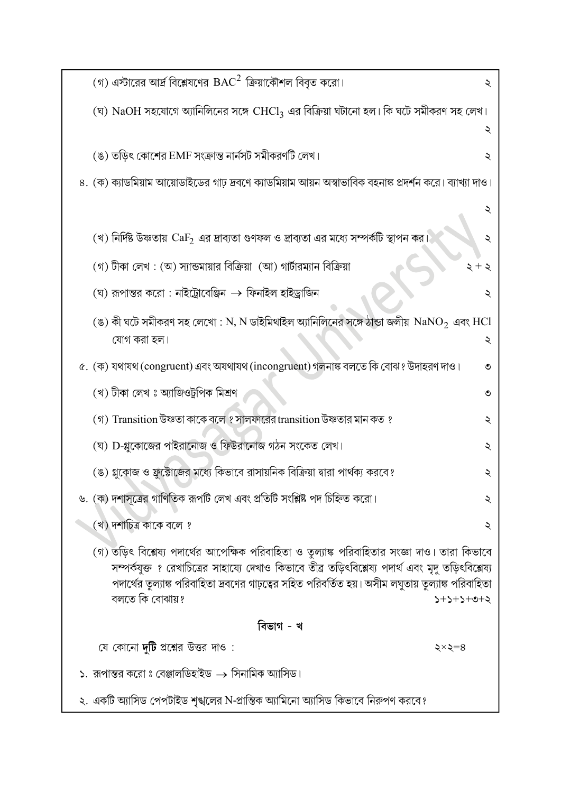| (গ) এস্টারের আর্দ্র বিশ্লেষণের ${\rm BAC}^2$ ক্রিয়াকৌশল বিবৃত করো।                                                                                                                                                                                                                                                              | ২           |  |  |  |
|----------------------------------------------------------------------------------------------------------------------------------------------------------------------------------------------------------------------------------------------------------------------------------------------------------------------------------|-------------|--|--|--|
| (ঘ) $\mathrm{NaOH}$ সহযোগে অ্যানিলিনের সঙ্গে $\mathrm{CHCl}_3$ এর বিক্রিয়া ঘটানো হল। কি ঘটে সমীকরণ সহ লেখ।                                                                                                                                                                                                                      | ২           |  |  |  |
| (ঙ) তড়িৎ কোশের EMF সংক্রান্ত নার্নসট সমীকরণটি লেখ।                                                                                                                                                                                                                                                                              | ২           |  |  |  |
| ৪. (ক) ক্যাডমিয়াম আয়োডাইডের গাঢ় দ্রবণে ক্যাডমিয়াম আয়ন অস্বাভাবিক বহনাঙ্ক প্রদর্শন করে। ব্যাখ্যা দাও।                                                                                                                                                                                                                        |             |  |  |  |
|                                                                                                                                                                                                                                                                                                                                  | ২           |  |  |  |
| (খ) নির্দিষ্ট উষ্ণতায় $\rm{CaF_2}$ এর দ্রাব্যতা গুণফল ও দ্রাব্যতা এর মধ্যে সম্পর্কটি স্থাপন কর।                                                                                                                                                                                                                                 |             |  |  |  |
| (গ) টীকা লেখ : (অ) স্যান্ডমায়ার বিক্রিয়া (আ) গার্টারম্যান বিক্রিয়া                                                                                                                                                                                                                                                            |             |  |  |  |
| $\,$ (ঘ) রূপান্তর করো : নাইট্রোবেঞ্জিন $\,\rightarrow\,$ ফিনাইল হাইড্রাজিন                                                                                                                                                                                                                                                       | ₹           |  |  |  |
| (ঙ) কী ঘটে সমীকরণ সহ লেখো : N, N ডাইমিথাইল অ্যানিলিনের সঙ্গে ঠান্ডা জলীয় $\mathrm{NaNO}_2$ এবং $\mathrm{HCl}$<br>যোগ করা হল।                                                                                                                                                                                                    | ২           |  |  |  |
| ৫. (ক) যথাযথ (congruent) এবং অযথাযথ (incongruent) গলনাঙ্ক বলতে কি বোঝ ? উদাহরণ দাও।                                                                                                                                                                                                                                              | ৩           |  |  |  |
| (খ) টীকা লেখ ঃ অ্যাজিওট্ৰপিক মিশ্ৰণ                                                                                                                                                                                                                                                                                              | ৩           |  |  |  |
| (গ) Transition উষ্ণতা কাকে বলে ? সালফারের transition উষ্ণতার মান কত ?                                                                                                                                                                                                                                                            | ২           |  |  |  |
| (ঘ) D-গ্লুকোজের পাইরানোজ ও ফিউরানোজ গঠন সংকেত লেখ।                                                                                                                                                                                                                                                                               | ২           |  |  |  |
| (ঙ) গ্লুকোজ ও ফ্রুক্টোজের মধ্যে কিভাবে রাসায়নিক বিক্রিয়া দ্বারা পার্থক্য করবে?                                                                                                                                                                                                                                                 | ২           |  |  |  |
| ৬. (ক) দশাসূত্রের গাণিতিক রূপটি লেখ এবং প্রতিটি সংশ্লিষ্ট পদ চিহ্নিত করো।                                                                                                                                                                                                                                                        | ২           |  |  |  |
| (খ) দশাচিত্র কাকে বলে ?                                                                                                                                                                                                                                                                                                          | ২           |  |  |  |
| (গ) তড়িৎ বিশ্লেষ্য পদার্থের আপেক্ষিক পরিবাহিতা ও তুল্যাঙ্ক পরিবাহিতার সংজ্ঞা দাও। তারা কিভাবে<br>সম্পর্কযুক্ত ? রেখাচিত্রের সাহায্যে দেখাও কিভাবে তীব্র তড়িৎবিশ্লেষ্য পদার্থ এবং মৃদু তড়িৎবিশ্লেষ্য<br>পদার্থের তুল্যাঙ্ক পরিবাহিতা দ্রবণের গাঢ়ত্বের সহিত পরিবর্তিত হয়। অসীম লঘুতায় তুল্যাঙ্ক পরিবাহিতা<br>বলতে কি বোঝায়? | $5+2+5+0+2$ |  |  |  |
| বিভাগ - খ                                                                                                                                                                                                                                                                                                                        |             |  |  |  |
| যে কোনো <b>দুটি</b> প্রশ্নের উত্তর দাও :                                                                                                                                                                                                                                                                                         | ২×২=৪       |  |  |  |
| ১.  রূপান্তর করো ঃ বেঞ্জালডিহাইড $\rightarrow$ সিনামিক অ্যাসিড।                                                                                                                                                                                                                                                                  |             |  |  |  |
| ২. একটি অ্যাসিড পেপটাইড শৃঙ্খলের N-প্রান্তিক অ্যামিনো অ্যাসিড কিভাবে নিরুপণ করবে?                                                                                                                                                                                                                                                |             |  |  |  |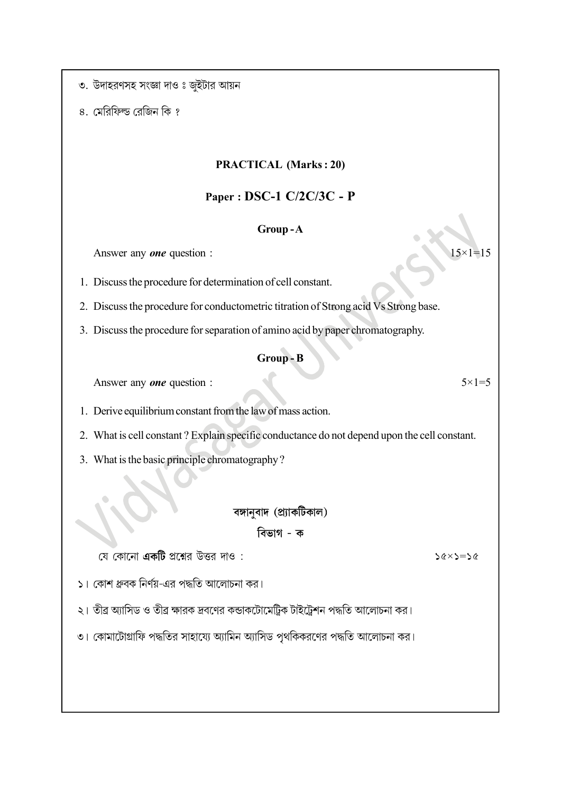৩. উদাহরণসহ সংজ্ঞা দাও ঃ জুইটার আয়ন

৪. মেরিফিল্ড রেজিন কি ?

#### PRACTICAL (Marks : 20)

#### Paper : DSC-1 C/2C/3C - P

#### Group - A

Answer any *one* question :  $15\times1=15$ 

1. Discuss the procedure for determination of cell constant.

2. Discuss the procedure for conductometric titration of Strong acid Vs Strong base.

3. Discuss the procedure for separation of amino acid by paper chromatography.

#### Group - B

Answer any *one* question :  $5 \times 1 = 5$ 

1. Derive equilibrium constant from the law of mass action.

2. What is cell constant ? Explain specific conductance do not depend upon the cell constant.

3. What is the basic principle chromatography ?

বঙ্গানুবাদ (প্র্যাকটিকাল)

#### বিভাগ - ক

যে কোনো **একটি** প্রশ্নের উত্তর দাও:

১। কোশ ধ্রুবক নির্ণয়-এর পদ্ধতি আলোচনা কর।

২। তীব্র অ্যাসিড ও তীব্র ক্ষারক দ্রবণের কন্ডাকটোমেট্রিক টাইট্রেশন পদ্ধতি আলোচনা কর।

৩। কোমাটোগ্রাফি পদ্ধতির সাহায্যে অ্যামিন অ্যাসিড পৃথকিকরণের পদ্ধতি আলোচনা কর।

 $56\times5=56$